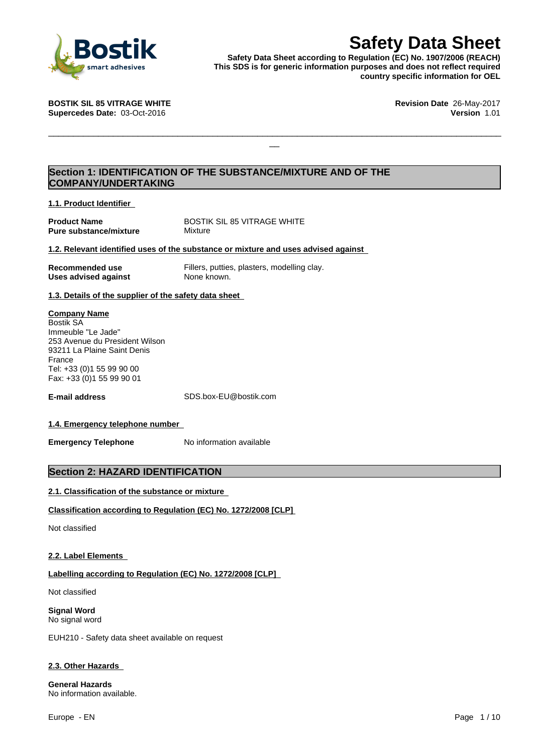

**Safety Data Sheet**<br>
Reputation (EC) No. 1907/2006 (REACH)<br>
r generic information purposes and does not reflect required<br>
country specific information for OEL<br>
Revision Date 26-May-2017<br>
Version 1.01 **Safety Data Sheet according to Regulation (EC) No. 1907/2006 (REACH) This SDS is for generic information purposes and does not reflect required country specific information for OEL**

 $\Box$ 

**Supercedes Date:** 03-Oct-2016 **Version** 1.01

**BOSTIK SIL 85 VITRAGE WHITE Revision Date** 26-May-2017

# **Section 1: IDENTIFICATION OF THE SUBSTANCE/MIXTURE AND OF THE COMPANY/UNDERTAKING**

**1.1. Product Identifier**

**Pure substance/mixture Mixture** 

**Product Name** BOSTIK SIL 85 VITRAGE WHITE

## **1.2. Relevant identified uses of the substance or mixture and uses advised against**

| Recommended use      |  |
|----------------------|--|
| Uses advised against |  |

Fillers, putties, plasters, modelling clay. **None known.** 

**1.3. Details of the supplier of the safety data sheet**

#### **Company Name**

Bostik SA Immeuble "Le Jade" 253 Avenue du President Wilson 93211 La Plaine Saint Denis France Tel: +33 (0)1 55 99 90 00 Fax: +33 (0)1 55 99 90 01

**E-mail address** SDS.box-EU@bostik.com

# **1.4. Emergency telephone number**

**Emergency Telephone** No information available

# **Section 2: HAZARD IDENTIFICATION**

# **2.1. Classification of the substance or mixture**

# **Classification according to Regulation (EC) No. 1272/2008 [CLP]**

Not classified

# **2.2. Label Elements**

# **Labelling according to Regulation (EC) No. 1272/2008 [CLP]**

Not classified

**Signal Word** No signal word

EUH210 - Safety data sheet available on request

# **2.3. Other Hazards**

**General Hazards** No information available.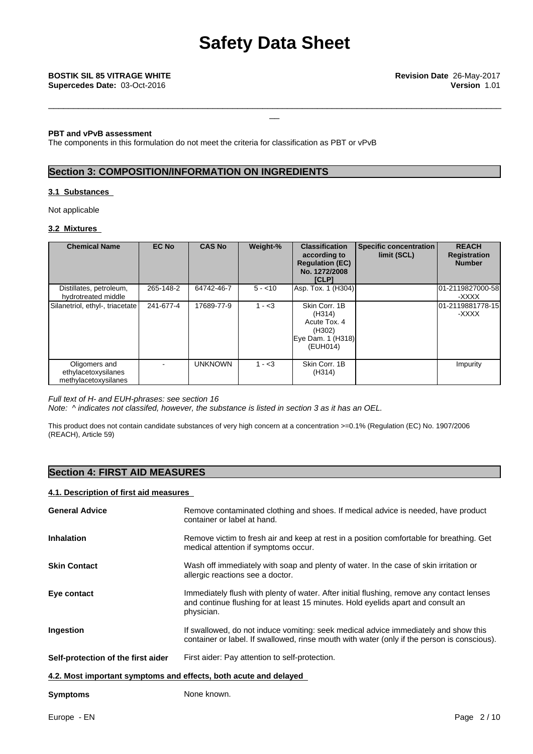#### **PBT and vPvB assessment**

The components in this formulation do not meet the criteria for classification as PBT or vPvB

# **Section 3: COMPOSITION/INFORMATION ON INGREDIENTS**

#### **3.1 Substances**

Not applicable

### **3.2 Mixtures**

| <b>Chemical Name</b>                                         | <b>EC No</b> | <b>CAS No</b>  | Weight-% | <b>Classification</b><br>according to<br><b>Regulation (EC)</b><br>No. 1272/2008<br><b>[CLP]</b> | Specific concentration<br>limit (SCL) | <b>REACH</b><br>Registration<br><b>Number</b> |
|--------------------------------------------------------------|--------------|----------------|----------|--------------------------------------------------------------------------------------------------|---------------------------------------|-----------------------------------------------|
| Distillates, petroleum,<br>hydrotreated middle               | 265-148-2    | 64742-46-7     | $5 - 10$ | Asp. Tox. 1 (H304)                                                                               |                                       | 01-2119827000-58<br>-XXXX                     |
| Silanetriol, ethyl-, triacetate                              | 241-677-4    | 17689-77-9     | $1 - 3$  | Skin Corr, 1B<br>(H314)<br>Acute Tox. 4<br>(H302)<br>Eye Dam. 1 (H318)<br>(EUH014)               |                                       | 01-2119881778-15<br>-XXXX                     |
| Oligomers and<br>ethylacetoxysilanes<br>methylacetoxysilanes |              | <b>UNKNOWN</b> | $1 - 3$  | Skin Corr. 1B<br>(H314)                                                                          |                                       | Impurity                                      |

#### *Full text of H- and EUH-phrases: see section 16*

*Note: ^ indicates not classifed, however, the substance islisted in section 3 as it has an OEL.*

This product does not contain candidate substances of very high concern at a concentration >=0.1% (Regulation (EC) No. 1907/2006 (REACH), Article 59)

# **Section 4: FIRST AID MEASURES**

#### **4.1. Description of first aid measures**

| <b>General Advice</b>                                            | Remove contaminated clothing and shoes. If medical advice is needed, have product<br>container or label at hand.                                                                            |
|------------------------------------------------------------------|---------------------------------------------------------------------------------------------------------------------------------------------------------------------------------------------|
| <b>Inhalation</b>                                                | Remove victim to fresh air and keep at rest in a position comfortable for breathing. Get<br>medical attention if symptoms occur.                                                            |
| <b>Skin Contact</b>                                              | Wash off immediately with soap and plenty of water. In the case of skin irritation or<br>allergic reactions see a doctor.                                                                   |
| Eye contact                                                      | Immediately flush with plenty of water. After initial flushing, remove any contact lenses<br>and continue flushing for at least 15 minutes. Hold eyelids apart and consult an<br>physician. |
| Ingestion                                                        | If swallowed, do not induce vomiting: seek medical advice immediately and show this<br>container or label. If swallowed, rinse mouth with water (only if the person is conscious).          |
| Self-protection of the first aider                               | First aider: Pay attention to self-protection.                                                                                                                                              |
| 4.2. Most important symptoms and effects, both acute and delayed |                                                                                                                                                                                             |
| <b>Symptoms</b>                                                  | None known.                                                                                                                                                                                 |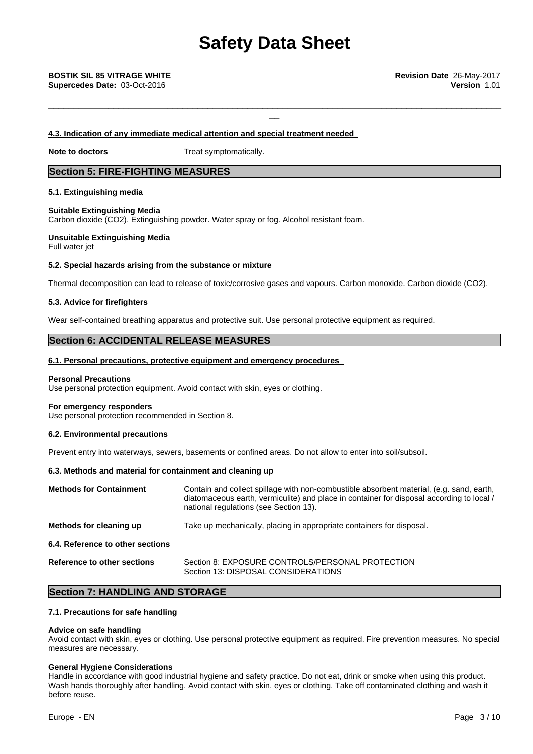# **Safety Data Sheet**

\_\_\_\_\_\_\_\_\_\_\_\_\_\_\_\_\_\_\_\_\_\_\_\_\_\_\_\_\_\_\_\_\_\_\_\_\_\_\_\_\_\_\_\_\_\_\_\_\_\_\_\_\_\_\_\_\_\_\_\_\_\_\_\_\_\_\_\_\_\_\_\_\_\_\_\_\_\_\_\_\_\_\_\_\_\_\_\_\_\_\_

#### **4.3. Indication of any immediate medical attention and special treatment needed**

**Note to doctors** Treat symptomatically.

# **Section 5: FIRE-FIGHTING MEASURES**

# **5.1. Extinguishing media**

#### **Suitable Extinguishing Media**

Carbon dioxide (CO2). Extinguishing powder. Water spray or fog. Alcohol resistant foam.

#### **Unsuitable Extinguishing Media** Full water jet

#### **5.2. Special hazards arising from the substance or mixture**

Thermal decomposition can lead to release of toxic/corrosive gases and vapours. Carbon monoxide. Carbon dioxide (CO2).

#### **5.3. Advice for firefighters**

Wear self-contained breathing apparatus and protective suit. Use personal protective equipment as required.

# **Section 6: ACCIDENTAL RELEASE MEASURES**

#### **6.1. Personal precautions, protective equipment and emergency procedures**

#### **Personal Precautions**

Use personal protection equipment. Avoid contact with skin, eyes or clothing.

#### **For emergency responders**

Use personal protection recommended in Section 8.

#### **6.2. Environmental precautions**

Prevent entry into waterways, sewers, basements or confined areas. Do not allow to enter into soil/subsoil.

#### **6.3. Methods and material for containment and cleaning up**

| <b>Methods for Containment</b>     | Contain and collect spillage with non-combustible absorbent material, (e.g. sand, earth,<br>diatomaceous earth, vermiculite) and place in container for disposal according to local /<br>national regulations (see Section 13). |
|------------------------------------|---------------------------------------------------------------------------------------------------------------------------------------------------------------------------------------------------------------------------------|
| Methods for cleaning up            | Take up mechanically, placing in appropriate containers for disposal.                                                                                                                                                           |
| 6.4. Reference to other sections   |                                                                                                                                                                                                                                 |
| <b>Reference to other sections</b> | Section 8: EXPOSURE CONTROLS/PERSONAL PROTECTION<br>Section 13: DISPOSAL CONSIDERATIONS                                                                                                                                         |

# **Section 7: HANDLING AND STORAGE**

## **7.1. Precautions for safe handling**

#### **Advice on safe handling**

Avoid contact with skin, eyes or clothing. Use personal protective equipment as required. Fire prevention measures. No special measures are necessary.

#### **General Hygiene Considerations**

Handle in accordance with good industrial hygiene and safety practice. Do not eat, drink or smoke when using this product. Wash hands thoroughly after handling. Avoid contact with skin, eyes or clothing. Take off contaminated clothing and wash it before reuse.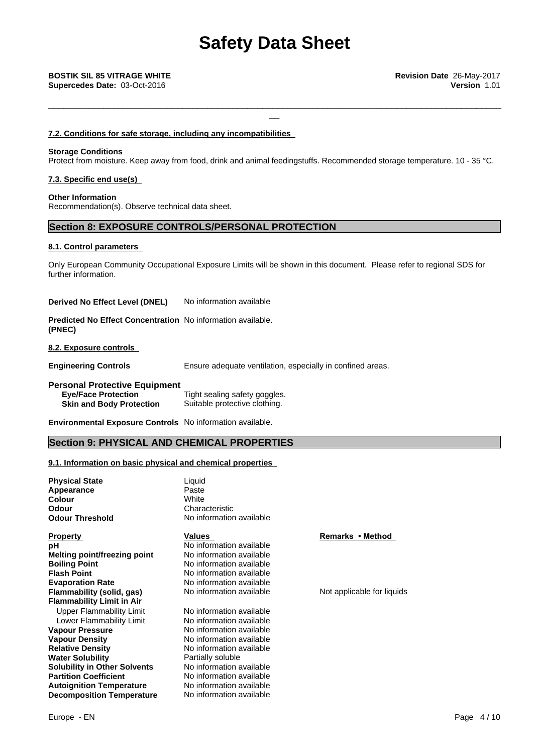#### **7.2. Conditions for safe storage, including any incompatibilities**

#### **Storage Conditions**

Protect from moisture. Keep away from food, drink and animal feedingstuffs. Recommended storage temperature. 10 - 35 °C.

#### **7.3. Specific end use(s)**

**Other Information** Recommendation(s). Observe technical data sheet.

# **Section 8: EXPOSURE CONTROLS/PERSONAL PROTECTION**

#### **8.1. Control parameters**

Only European Community Occupational Exposure Limits will be shown in this document. Please refer to regional SDS for further information.

**Derived No Effect Level (DNEL)** No information available

**Predicted No Effect Concentration** No information available. **(PNEC)**

**8.2. Exposure controls**

**Engineering Controls** Ensure adequate ventilation, especially in confined areas.

#### **Personal Protective Equipment Eye/Face Protection** Tight sealing safety goggles. **Skin and Body Protection** Suitable protective clothing.

**Environmental Exposure Controls** No information available.

# **Section 9: PHYSICAL AND CHEMICAL PROPERTIES**

### **9.1. Information on basic physical and chemical properties**

| <b>Physical State</b>               | Liquid                   |                            |
|-------------------------------------|--------------------------|----------------------------|
| Appearance                          | Paste                    |                            |
| Colour                              | White                    |                            |
| Odour                               | Characteristic           |                            |
| <b>Odour Threshold</b>              | No information available |                            |
| <b>Property</b>                     | Values                   | Remarks • Method           |
| pН                                  | No information available |                            |
| Melting point/freezing point        | No information available |                            |
| <b>Boiling Point</b>                | No information available |                            |
| <b>Flash Point</b>                  | No information available |                            |
| <b>Evaporation Rate</b>             | No information available |                            |
| Flammability (solid, gas)           | No information available | Not applicable for liquids |
| <b>Flammability Limit in Air</b>    |                          |                            |
| Upper Flammability Limit            | No information available |                            |
| Lower Flammability Limit            | No information available |                            |
| Vapour Pressure                     | No information available |                            |
| Vapour Density                      | No information available |                            |
| <b>Relative Density</b>             | No information available |                            |
| <b>Water Solubility</b>             | Partially soluble        |                            |
| <b>Solubility in Other Solvents</b> | No information available |                            |
| <b>Partition Coefficient</b>        | No information available |                            |
| <b>Autoignition Temperature</b>     | No information available |                            |
| <b>Decomposition Temperature</b>    | No information available |                            |
|                                     |                          |                            |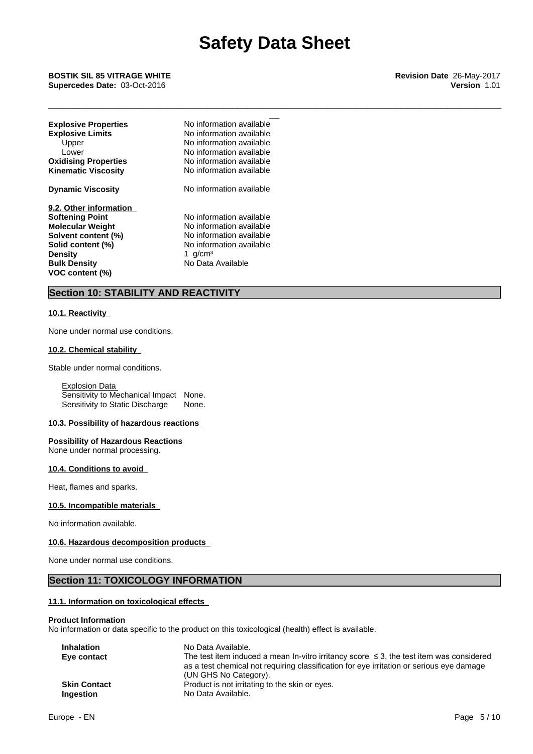\_\_ **BOSTIK SIL <sup>85</sup> VITRAGE WHITE Revision Date** 26-May-2017 **Supercedes Date:** 03-Oct-2016 **Version** 1.01

| <b>Explosive Properties</b> | No information available |
|-----------------------------|--------------------------|
| <b>Explosive Limits</b>     | No information available |
| Upper                       | No information available |
| Lower                       | No information available |
| <b>Oxidising Properties</b> | No information available |
| <b>Kinematic Viscosity</b>  | No information available |
| <b>Dynamic Viscosity</b>    | No information available |
| 9.2. Other information      |                          |
| <b>Softening Point</b>      | No information available |
| <b>Molecular Weight</b>     | No information available |
| Solvent content (%)         | No information available |
| Solid content (%)           | No information available |
| <b>Density</b>              | 1 $q/cm3$                |
| <b>Bulk Density</b>         | No Data Available        |
| VOC content (%)             |                          |

# **Section 10: STABILITY AND REACTIVITY**

### **10.1. Reactivity**

None under normal use conditions.

#### **10.2. Chemical stability**

Stable under normal conditions.

Explosion Data Sensitivity to Mechanical Impact None. Sensitivity to Static Discharge None.

#### **10.3. Possibility of hazardous reactions**

**Possibility of Hazardous Reactions** None under normal processing.

#### **10.4. Conditions to avoid**

Heat, flames and sparks.

## **10.5. Incompatible materials**

No information available.

#### **10.6. Hazardous decomposition products**

None under normal use conditions.

# **Section 11: TOXICOLOGY INFORMATION**

## **11.1. Information on toxicological effects**

#### **Product Information**

No information or data specific to the product on this toxicological (health) effect is available.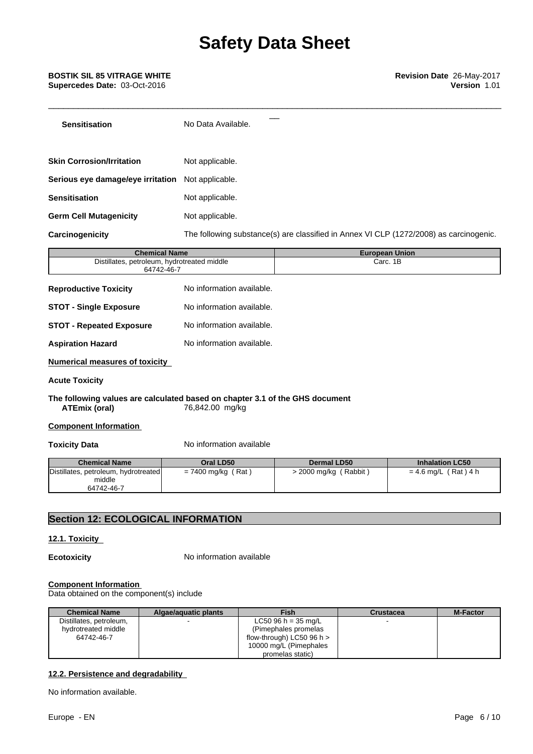# **Safety Data Sheet**

\_\_\_\_\_\_\_\_\_\_\_\_\_\_\_\_\_\_\_\_\_\_\_\_\_\_\_\_\_\_\_\_\_\_\_\_\_\_\_\_\_\_\_\_\_\_\_\_\_\_\_\_\_\_\_\_\_\_\_\_\_\_\_\_\_\_\_\_\_\_\_\_\_\_\_\_\_\_\_\_\_\_\_\_\_\_\_\_\_\_\_

| <b>Sensitisation</b>              | No Data Available.                                                                     |
|-----------------------------------|----------------------------------------------------------------------------------------|
|                                   |                                                                                        |
| <b>Skin Corrosion/Irritation</b>  | Not applicable.                                                                        |
| Serious eye damage/eye irritation | Not applicable.                                                                        |
| <b>Sensitisation</b>              | Not applicable.                                                                        |
| <b>Germ Cell Mutagenicity</b>     | Not applicable.                                                                        |
| Carcinogenicity                   | The following substance(s) are classified in Annex VI CLP (1272/2008) as carcinogenic. |

| <b>Chemical Name</b>                                      | <b>European Union</b> |
|-----------------------------------------------------------|-----------------------|
| Distillates, petroleum, hydrotreated middle<br>64742-46-7 | Carc, 1B              |
|                                                           |                       |

| <b>Reproductive Toxicity</b>    | No information available. |
|---------------------------------|---------------------------|
| <b>STOT - Single Exposure</b>   | No information available. |
| <b>STOT - Repeated Exposure</b> | No information available. |
| <b>Aspiration Hazard</b>        | No information available. |

**Numerical measures of toxicity**

#### **Acute Toxicity**

#### **The following values are calculated based on chapter 3.1 of the GHS document ATEmix (oral)** 76,842.00 mg/kg

#### **Component Information**

**Toxicity Data** No information available

| <b>Chemical Name</b>                           | Oral LD50            | Dermal LD50           | <b>Inhalation LC50</b> |
|------------------------------------------------|----------------------|-----------------------|------------------------|
| Distillates, petroleum, hydrotreated<br>middle | $= 7400$ mg/kg (Rat) | > 2000 mg/kg (Rabbit) | $= 4.6$ mg/L (Rat) 4 h |
| 64742-46-7                                     |                      |                       |                        |

# **Section 12: ECOLOGICAL INFORMATION**

#### **12.1. Toxicity**

**Ecotoxicity** No information available

# **Component Information**

Data obtained on the component(s) include

| <b>Chemical Name</b>    | Algae/aquatic plants | <b>Fish</b>                   | Crustacea | <b>M-Factor</b> |
|-------------------------|----------------------|-------------------------------|-----------|-----------------|
| Distillates, petroleum, |                      | LC50 96 h = $35 \text{ mg/L}$ |           |                 |
| hydrotreated middle     |                      | (Pimephales promelas)         |           |                 |
| 64742-46-7              |                      | flow-through) LC50 96 h $>$   |           |                 |
|                         |                      | 10000 mg/L (Pimephales        |           |                 |
|                         |                      | promelas static)              |           |                 |

## **12.2. Persistence and degradability**

No information available.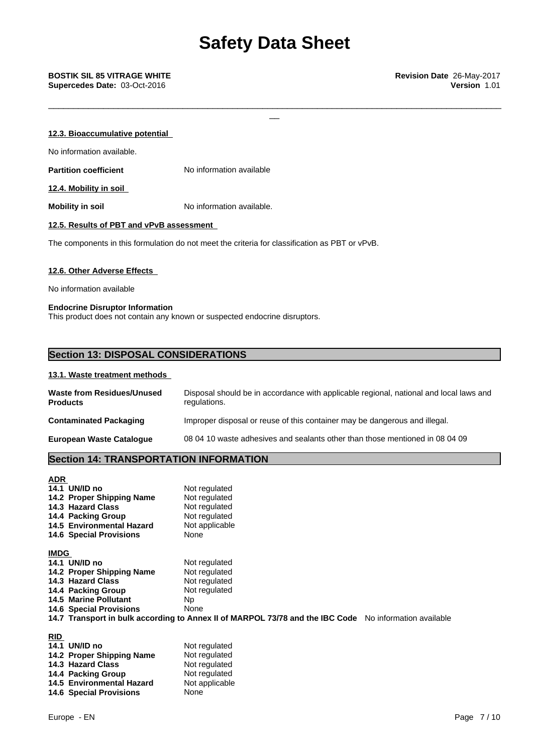| 12.3. Bioaccumulative potential          |                           |  |  |
|------------------------------------------|---------------------------|--|--|
| No information available.                |                           |  |  |
| <b>Partition coefficient</b>             | No information available  |  |  |
| 12.4. Mobility in soil                   |                           |  |  |
| <b>Mobility in soil</b>                  | No information available. |  |  |
| 12.5. Results of PBT and vPvB assessment |                           |  |  |

The components in this formulation do not meet the criteria for classification as PBT or vPvB.

#### **12.6. Other Adverse Effects**

No information available

#### **Endocrine Disruptor Information**

This product does not contain any known or suspected endocrine disruptors.

# **Section 13: DISPOSAL CONSIDERATIONS**

#### **13.1. Waste treatment methods**

| <b>Waste from Residues/Unused</b><br><b>Products</b> | Disposal should be in accordance with applicable regional, national and local laws and<br>regulations. |
|------------------------------------------------------|--------------------------------------------------------------------------------------------------------|
| <b>Contaminated Packaging</b>                        | Improper disposal or reuse of this container may be dangerous and illegal.                             |
| <b>European Waste Cataloque</b>                      | 08 04 10 waste adhesives and sealants other than those mentioned in 08 04 09                           |

# **Section 14: TRANSPORTATION INFORMATION**

| <b>ADR</b>  |                                                                                                        |                |  |
|-------------|--------------------------------------------------------------------------------------------------------|----------------|--|
|             | 14.1 UN/ID no                                                                                          | Not regulated  |  |
|             | 14.2 Proper Shipping Name                                                                              | Not regulated  |  |
|             | 14.3 Hazard Class                                                                                      | Not regulated  |  |
|             | 14.4 Packing Group                                                                                     | Not regulated  |  |
|             | 14.5 Environmental Hazard                                                                              | Not applicable |  |
|             | <b>14.6 Special Provisions</b>                                                                         | None           |  |
| <b>IMDG</b> |                                                                                                        |                |  |
|             | 14.1 UN/ID no                                                                                          | Not regulated  |  |
|             | 14.2 Proper Shipping Name                                                                              | Not regulated  |  |
|             | 14.3 Hazard Class                                                                                      | Not regulated  |  |
|             | 14.4 Packing Group                                                                                     | Not regulated  |  |
|             | <b>14.5 Marine Pollutant</b>                                                                           | Np.            |  |
|             | <b>14.6 Special Provisions</b>                                                                         | None           |  |
|             | 14.7 Transport in bulk according to Annex II of MARPOL 73/78 and the IBC Code No information available |                |  |
|             |                                                                                                        |                |  |

| 14.1 UN/ID no                  | Not regulated  |
|--------------------------------|----------------|
| 14.2 Proper Shipping Name      | Not regulated  |
| 14.3 Hazard Class              | Not regulated  |
| 14.4 Packing Group             | Not regulated  |
| 14.5 Environmental Hazard      | Not applicable |
| <b>14.6 Special Provisions</b> | None           |
|                                |                |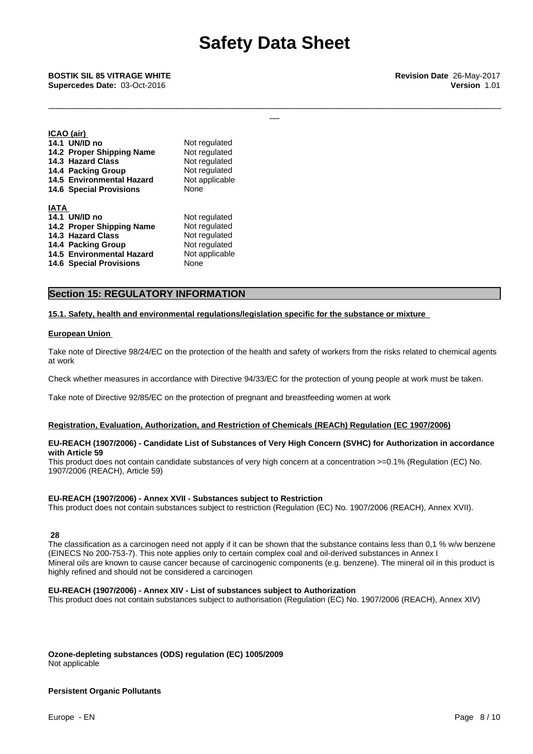\_\_ **BOSTIK SIL <sup>85</sup> VITRAGE WHITE Revision Date** 26-May-2017 **Supercedes Date:** 03-Oct-2016 **Version** 1.01

**ICAO (air)**

| $I \cup A \cup I$              |                |
|--------------------------------|----------------|
| 14.1 UN/ID no                  | Not regulated  |
| 14.2 Proper Shipping Name      | Not regulated  |
| 14.3 Hazard Class              | Not regulated  |
| 14.4 Packing Group             | Not regulated  |
| 14.5 Environmental Hazard      | Not applicable |
| <b>14.6 Special Provisions</b> | None           |
| <b>IATA</b>                    |                |
| 14.1 UN/ID no                  | Not regulated  |
| 14.2 Proper Shipping Name      | Not regulated  |
| 14.3 Hazard Class              | Not regulated  |
| 14.4 Packing Group             | Not regulated  |
| 14.5 Environmental Hazard      | Not applicable |
| <b>14.6 Special Provisions</b> | None           |
|                                |                |

# **Section 15: REGULATORY INFORMATION**

#### **15.1. Safety, health and environmental regulations/legislation specific for the substance or mixture**

#### **European Union**

Take note of Directive 98/24/EC on the protection of the health and safety of workers from the risks related to chemical agents at work

Check whether measures in accordance with Directive 94/33/EC for the protection of young people at work must be taken.

Take note of Directive 92/85/EC on the protection of pregnant and breastfeeding women at work

#### **Registration, Evaluation, Authorization, and Restriction of Chemicals (REACh) Regulation (EC 1907/2006)**

#### **EU-REACH (1907/2006) - Candidate List of Substances of Very High Concern (SVHC) for Authorization in accordance with Article 59**

This product does not contain candidate substances of very high concern at a concentration >=0.1% (Regulation (EC) No. 1907/2006 (REACH), Article 59)

#### **EU-REACH (1907/2006) - Annex XVII - Substances subject to Restriction**

This product does not contain substances subject to restriction (Regulation (EC) No. 1907/2006 (REACH), Annex XVII).

 **28**

The classification as a carcinogen need not apply if it can be shown that the substance contains less than 0,1 % w/w benzene (EINECS No 200-753-7). This note applies only to certain complex coal and oil-derived substances in Annex I Mineral oils are known to cause cancer because of carcinogenic components (e.g. benzene). The mineral oil in this product is highly refined and should not be considered a carcinogen

#### **EU-REACH (1907/2006) - Annex XIV - List of substances subject to Authorization**

This product does not contain substances subject to authorisation (Regulation (EC) No. 1907/2006 (REACH), Annex XIV)

**Ozone-depleting substances (ODS) regulation (EC) 1005/2009** Not applicable

#### **Persistent Organic Pollutants**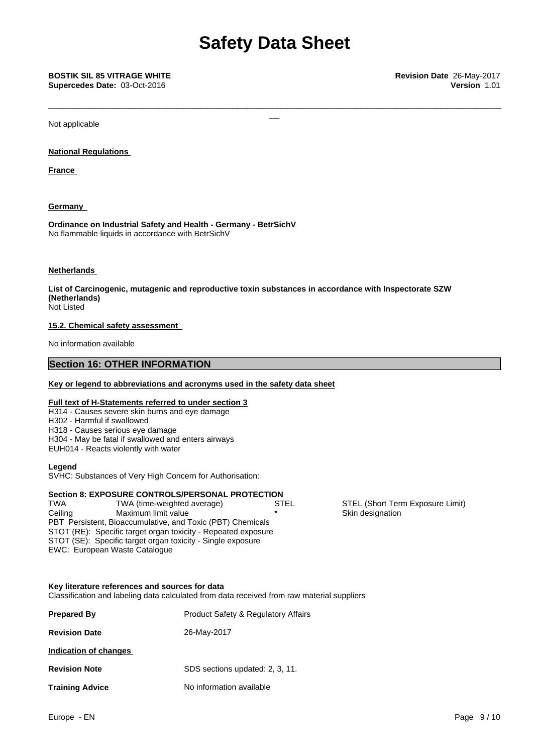# **Safety Data Sheet**

\_\_\_\_\_\_\_\_\_\_\_\_\_\_\_\_\_\_\_\_\_\_\_\_\_\_\_\_\_\_\_\_\_\_\_\_\_\_\_\_\_\_\_\_\_\_\_\_\_\_\_\_\_\_\_\_\_\_\_\_\_\_\_\_\_\_\_\_\_\_\_\_\_\_\_\_\_\_\_\_\_\_\_\_\_\_\_\_\_\_\_

Not applicable

### **National Regulations**

**France** 

# **Germany**

**Ordinance on Industrial Safety and Health - Germany - BetrSichV** No flammable liquids in accordance with BetrSichV

### **Netherlands**

**List of Carcinogenic, mutagenic and reproductive toxin substances in accordance with Inspectorate SZW (Netherlands)**

Not Listed

### **15.2. Chemical safety assessment**

No information available

# **Section 16: OTHER INFORMATION**

#### **Key or legend to abbreviations and acronyms used in the safety data sheet**

# **Full text of H-Statements referred to under section 3**

- H314 Causes severe skin burns and eye damage
- H302 Harmful if swallowed
- H318 Causes serious eye damage
- H304 May be fatal if swallowed and enters airways
- EUH014 Reacts violently with water

#### **Legend**

SVHC: Substances of Very High Concern for Authorisation:

# **Section 8: EXPOSURE CONTROLS/PERSONAL PROTECTION**

PBT Persistent, Bioaccumulative, and Toxic (PBT) Chemicals STOT (RE): Specific target organ toxicity - Repeated exposure STOT (SE): Specific target organ toxicity - Single exposure EWC: European Waste Catalogue Ceiling Maximum limit value **\* Xim designation Skin designation** 

# **Key literature references and sources for data**

Classification and labeling data calculated from data received from raw material suppliers

| <b>Prepared By</b>     | <b>Product Safety &amp; Regulatory Affairs</b> |  |
|------------------------|------------------------------------------------|--|
| <b>Revision Date</b>   | 26-May-2017                                    |  |
| Indication of changes  |                                                |  |
| <b>Revision Note</b>   | SDS sections updated: 2, 3, 11.                |  |
| <b>Training Advice</b> | No information available                       |  |

STEL (Short Term Exposure Limit)